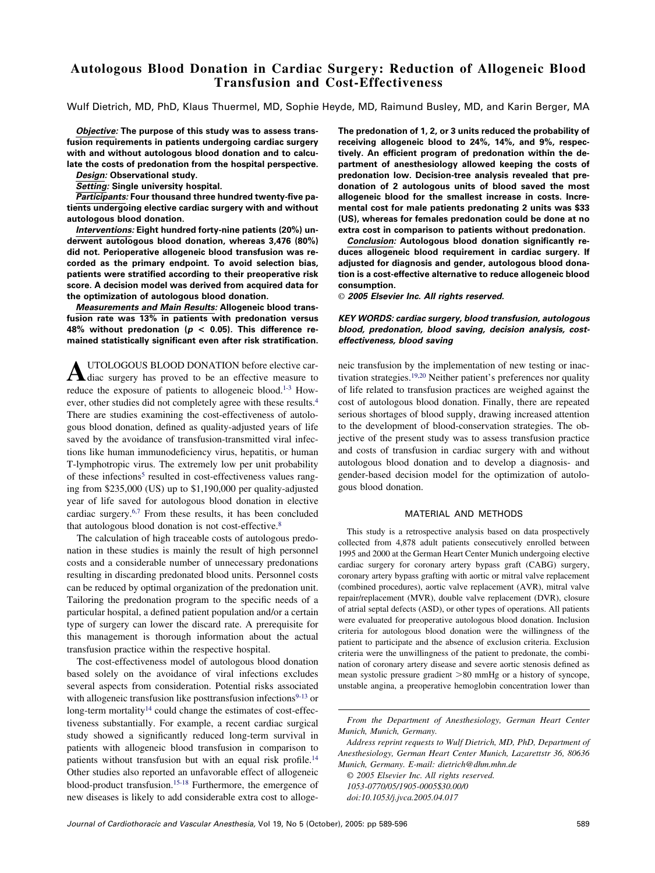# **Autologous Blood Donation in Cardiac Surgery: Reduction of Allogeneic Blood Transfusion and Cost-Effectiveness**

Wulf Dietrich, MD, PhD, Klaus Thuermel, MD, Sophie Heyde, MD, Raimund Busley, MD, and Karin Berger, MA

*Objective:* **The purpose of this study was to assess transfusion requirements in patients undergoing cardiac surgery with and without autologous blood donation and to calculate the costs of predonation from the hospital perspective.**

*Design:* **Observational study.**

*Setting:* **Single university hospital.**

*Participants:* **Four thousand three hundred twenty-five patients undergoing elective cardiac surgery with and without autologous blood donation.**

*Interventions:* **Eight hundred forty-nine patients (20%) underwent autologous blood donation, whereas 3,476 (80%) did not. Perioperative allogeneic blood transfusion was recorded as the primary endpoint. To avoid selection bias, patients were stratified according to their preoperative risk score. A decision model was derived from acquired data for the optimization of autologous blood donation.**

*Measurements and Main Results:* **Allogeneic blood transfusion rate was 13% in patients with predonation versus 48% without predonation (***p* **< 0.05). This difference remained statistically significant even after risk stratification.**

**A**UTOLOGOUS BLOOD DONATION before elective car-<br>diac surgery has proved to be an effective measure to reduce the exposure of patients to allogeneic blood[.1-3](#page-6-0) However, other studies did not completely agree with these results[.4](#page-6-0) There are studies examining the cost-effectiveness of autologous blood donation, defined as quality-adjusted years of life saved by the avoidance of transfusion-transmitted viral infections like human immunodeficiency virus, hepatitis, or human T-lymphotropic virus. The extremely low per unit probability of these infections<sup>5</sup> resulted in cost-effectiveness values ranging from \$235,000 (US) up to \$1,190,000 per quality-adjusted year of life saved for autologous blood donation in elective cardiac surgery[.6,7](#page-6-0) From these results, it has been concluded that autologous blood donation is not cost-effective[.8](#page-6-0)

The calculation of high traceable costs of autologous predonation in these studies is mainly the result of high personnel costs and a considerable number of unnecessary predonations resulting in discarding predonated blood units. Personnel costs can be reduced by optimal organization of the predonation unit. Tailoring the predonation program to the specific needs of a particular hospital, a defined patient population and/or a certain type of surgery can lower the discard rate. A prerequisite for this management is thorough information about the actual transfusion practice within the respective hospital.

The cost-effectiveness model of autologous blood donation based solely on the avoidance of viral infections excludes several aspects from consideration. Potential risks associated with allogeneic transfusion like posttransfusion infections $9-13$  or long-term mortality<sup>14</sup> could change the estimates of cost-effectiveness substantially. For example, a recent cardiac surgical study showed a significantly reduced long-term survival in patients with allogeneic blood transfusion in comparison to patients without transfusion but with an equal risk profile.<sup>14</sup> Other studies also reported an unfavorable effect of allogeneic blood-product transfusion[.15-18](#page-6-0) Furthermore, the emergence of new diseases is likely to add considerable extra cost to alloge**The predonation of 1, 2, or 3 units reduced the probability of receiving allogeneic blood to 24%, 14%, and 9%, respectively. An efficient program of predonation within the department of anesthesiology allowed keeping the costs of predonation low. Decision-tree analysis revealed that predonation of 2 autologous units of blood saved the most allogeneic blood for the smallest increase in costs. Incremental cost for male patients predonating 2 units was \$33 (US), whereas for females predonation could be done at no extra cost in comparison to patients without predonation.**

*Conclusion:* **Autologous blood donation significantly reduces allogeneic blood requirement in cardiac surgery. If adjusted for diagnosis and gender, autologous blood donation is a cost-effective alternative to reduce allogeneic blood consumption.**

© *2005 Elsevier Inc. All rights reserved.*

# *KEY WORDS: cardiac surgery, blood transfusion, autologous blood, predonation, blood saving, decision analysis, costeffectiveness, blood saving*

neic transfusion by the implementation of new testing or inactivation strategies[.19,20](#page-6-0) Neither patient's preferences nor quality of life related to transfusion practices are weighed against the cost of autologous blood donation. Finally, there are repeated serious shortages of blood supply, drawing increased attention to the development of blood-conservation strategies. The objective of the present study was to assess transfusion practice and costs of transfusion in cardiac surgery with and without autologous blood donation and to develop a diagnosis- and gender-based decision model for the optimization of autologous blood donation.

## MATERIAL AND METHODS

This study is a retrospective analysis based on data prospectively collected from 4,878 adult patients consecutively enrolled between 1995 and 2000 at the German Heart Center Munich undergoing elective cardiac surgery for coronary artery bypass graft (CABG) surgery, coronary artery bypass grafting with aortic or mitral valve replacement (combined procedures), aortic valve replacement (AVR), mitral valve repair/replacement (MVR), double valve replacement (DVR), closure of atrial septal defects (ASD), or other types of operations. All patients were evaluated for preoperative autologous blood donation. Inclusion criteria for autologous blood donation were the willingness of the patient to participate and the absence of exclusion criteria. Exclusion criteria were the unwillingness of the patient to predonate, the combination of coronary artery disease and severe aortic stenosis defined as mean systolic pressure gradient  $>80$  mmHg or a history of syncope, unstable angina, a preoperative hemoglobin concentration lower than

*Address reprint requests to Wulf Dietrich, MD, PhD, Department of Anesthesiology, German Heart Center Munich, Lazarettstr 36, 80636 Munich, Germany. E-mail: dietrich@dhm.mhn.de*

*© 2005 Elsevier Inc. All rights reserved. 1053-0770/05/1905-0005\$30.00/0 doi:10.1053/j.jvca.2005.04.017*

*From the Department of Anesthesiology, German Heart Center Munich, Munich, Germany.*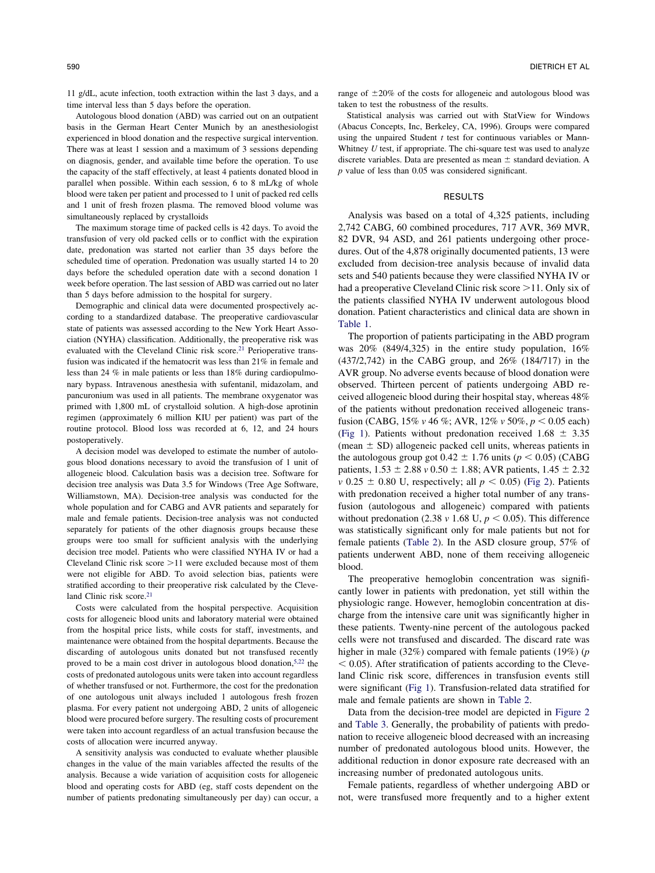11 g/dL, acute infection, tooth extraction within the last 3 days, and a time interval less than 5 days before the operation.

Autologous blood donation (ABD) was carried out on an outpatient basis in the German Heart Center Munich by an anesthesiologist experienced in blood donation and the respective surgical intervention. There was at least 1 session and a maximum of 3 sessions depending on diagnosis, gender, and available time before the operation. To use the capacity of the staff effectively, at least 4 patients donated blood in parallel when possible. Within each session, 6 to 8 mL/kg of whole blood were taken per patient and processed to 1 unit of packed red cells and 1 unit of fresh frozen plasma. The removed blood volume was simultaneously replaced by crystalloids

The maximum storage time of packed cells is 42 days. To avoid the transfusion of very old packed cells or to conflict with the expiration date, predonation was started not earlier than 35 days before the scheduled time of operation. Predonation was usually started 14 to 20 days before the scheduled operation date with a second donation 1 week before operation. The last session of ABD was carried out no later than 5 days before admission to the hospital for surgery.

Demographic and clinical data were documented prospectively according to a standardized database. The preoperative cardiovascular state of patients was assessed according to the New York Heart Association (NYHA) classification. Additionally, the preoperative risk was evaluated with the Cleveland Clinic risk score.<sup>21</sup> Perioperative transfusion was indicated if the hematocrit was less than 21% in female and less than 24 % in male patients or less than 18% during cardiopulmonary bypass. Intravenous anesthesia with sufentanil, midazolam, and pancuronium was used in all patients. The membrane oxygenator was primed with 1,800 mL of crystalloid solution. A high-dose aprotinin regimen (approximately 6 million KIU per patient) was part of the routine protocol. Blood loss was recorded at 6, 12, and 24 hours postoperatively.

A decision model was developed to estimate the number of autologous blood donations necessary to avoid the transfusion of 1 unit of allogeneic blood. Calculation basis was a decision tree. Software for decision tree analysis was Data 3.5 for Windows (Tree Age Software, Williamstown, MA). Decision-tree analysis was conducted for the whole population and for CABG and AVR patients and separately for male and female patients. Decision-tree analysis was not conducted separately for patients of the other diagnosis groups because these groups were too small for sufficient analysis with the underlying decision tree model. Patients who were classified NYHA IV or had a Cleveland Clinic risk score  $>11$  were excluded because most of them were not eligible for ABD. To avoid selection bias, patients were stratified according to their preoperative risk calculated by the Cleveland Clinic risk score.<sup>21</sup>

Costs were calculated from the hospital perspective. Acquisition costs for allogeneic blood units and laboratory material were obtained from the hospital price lists, while costs for staff, investments, and maintenance were obtained from the hospital departments. Because the discarding of autologous units donated but not transfused recently proved to be a main cost driver in autologous blood donation,  $5.22$  the costs of predonated autologous units were taken into account regardless of whether transfused or not. Furthermore, the cost for the predonation of one autologous unit always included 1 autologous fresh frozen plasma. For every patient not undergoing ABD, 2 units of allogeneic blood were procured before surgery. The resulting costs of procurement were taken into account regardless of an actual transfusion because the costs of allocation were incurred anyway.

A sensitivity analysis was conducted to evaluate whether plausible changes in the value of the main variables affected the results of the analysis. Because a wide variation of acquisition costs for allogeneic blood and operating costs for ABD (eg, staff costs dependent on the number of patients predonating simultaneously per day) can occur, a

range of  $\pm 20\%$  of the costs for allogeneic and autologous blood was taken to test the robustness of the results.

Statistical analysis was carried out with StatView for Windows (Abacus Concepts, Inc, Berkeley, CA, 1996). Groups were compared using the unpaired Student *t* test for continuous variables or Mann-Whitney *U* test, if appropriate. The chi-square test was used to analyze discrete variables. Data are presented as mean  $\pm$  standard deviation. A *p* value of less than 0.05 was considered significant.

#### RESULTS

Analysis was based on a total of 4,325 patients, including 2,742 CABG, 60 combined procedures, 717 AVR, 369 MVR, 82 DVR, 94 ASD, and 261 patients undergoing other procedures. Out of the 4,878 originally documented patients, 13 were excluded from decision-tree analysis because of invalid data sets and 540 patients because they were classified NYHA IV or had a preoperative Cleveland Clinic risk score  $>11$ . Only six of the patients classified NYHA IV underwent autologous blood donation. Patient characteristics and clinical data are shown in [Table 1.](#page-2-0)

The proportion of patients participating in the ABD program was 20% (849/4,325) in the entire study population, 16% (437/2,742) in the CABG group, and 26% (184/717) in the AVR group. No adverse events because of blood donation were observed. Thirteen percent of patients undergoing ABD received allogeneic blood during their hospital stay, whereas 48% of the patients without predonation received allogeneic transfusion (CABG,  $15\% \text{ v } 46 \%$ ; AVR,  $12\% \text{ v } 50\%$ ,  $p < 0.05$  each) [\(Fig 1\)](#page-2-0). Patients without predonation received  $1.68 \pm 3.35$ (mean  $\pm$  SD) allogeneic packed cell units, whereas patients in the autologous group got  $0.42 \pm 1.76$  units ( $p < 0.05$ ) (CABG patients,  $1.53 \pm 2.88$  *v*  $0.50 \pm 1.88$ ; AVR patients,  $1.45 \pm 2.32$  $\nu$  0.25  $\pm$  0.80 U, respectively; all  $p < 0.05$ ) [\(Fig 2\)](#page-3-0). Patients with predonation received a higher total number of any transfusion (autologous and allogeneic) compared with patients without predonation (2.38  $v$  1.68 U,  $p < 0.05$ ). This difference was statistically significant only for male patients but not for female patients [\(Table 2\)](#page-4-0). In the ASD closure group, 57% of patients underwent ABD, none of them receiving allogeneic blood.

The preoperative hemoglobin concentration was significantly lower in patients with predonation, yet still within the physiologic range. However, hemoglobin concentration at discharge from the intensive care unit was significantly higher in these patients. Twenty-nine percent of the autologous packed cells were not transfused and discarded. The discard rate was higher in male (32%) compared with female patients (19%) (*p*  $0.05$ . After stratification of patients according to the Cleveland Clinic risk score, differences in transfusion events still were significant [\(Fig 1\)](#page-2-0). Transfusion-related data stratified for male and female patients are shown in [Table 2.](#page-4-0)

Data from the decision-tree model are depicted in [Figure 2](#page-3-0) and [Table 3.](#page-4-0) Generally, the probability of patients with predonation to receive allogeneic blood decreased with an increasing number of predonated autologous blood units. However, the additional reduction in donor exposure rate decreased with an increasing number of predonated autologous units.

Female patients, regardless of whether undergoing ABD or not, were transfused more frequently and to a higher extent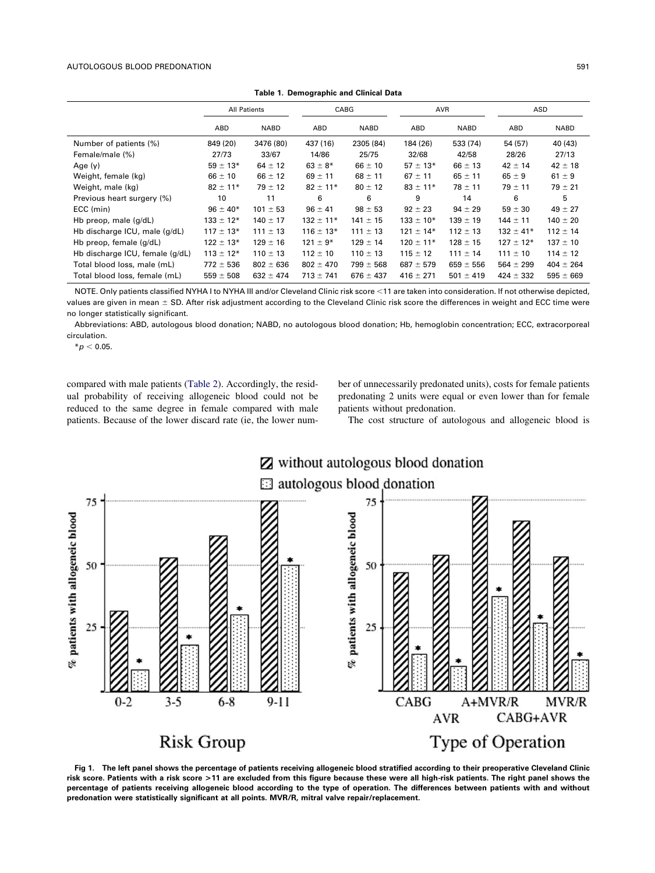<span id="page-2-0"></span>

| Table 1. Demographic and Omncar Data |               |                     |               |               |               |               |               |               |  |  |  |  |
|--------------------------------------|---------------|---------------------|---------------|---------------|---------------|---------------|---------------|---------------|--|--|--|--|
|                                      |               | <b>All Patients</b> |               | CABG          |               | AVR           | ASD           |               |  |  |  |  |
|                                      | ABD           | <b>NABD</b>         | ABD           | <b>NABD</b>   | ABD           | <b>NABD</b>   | ABD           | <b>NABD</b>   |  |  |  |  |
| Number of patients (%)               | 849 (20)      | 3476 (80)           | 437 (16)      | 2305 (84)     | 184 (26)      | 533 (74)      | 54 (57)       | 40 (43)       |  |  |  |  |
| Female/male (%)                      | 27/73         | 33/67               | 14/86         | 25/75         | 32/68         | 42/58         | 28/26         | 27/13         |  |  |  |  |
| Age $(y)$                            | $59 \pm 13*$  | $64 \pm 12$         | $63 \pm 8*$   | $66 \pm 10$   | $57 \pm 13*$  | $66 \pm 13$   | $42 \pm 14$   | $42 \pm 18$   |  |  |  |  |
| Weight, female (kg)                  | $66 \pm 10$   | $66 \pm 12$         | $69 \pm 11$   | $68 \pm 11$   | $67 \pm 11$   | $65 \pm 11$   | $65 \pm 9$    | $61 \pm 9$    |  |  |  |  |
| Weight, male (kg)                    | $82 \pm 11*$  | $79 \pm 12$         | $82 \pm 11*$  | $80 \pm 12$   | $83 \pm 11*$  | $78 \pm 11$   | $79 \pm 11$   | $79 \pm 21$   |  |  |  |  |
| Previous heart surgery (%)           | 10            | 11                  | 6             | 6             | 9             | 14            | 6             | 5.            |  |  |  |  |
| ECC (min)                            | $96 \pm 40*$  | $101 \pm 53$        | $96 \pm 41$   | $98 \pm 53$   | $92 \pm 23$   | $94 \pm 29$   | $59 \pm 30$   | $49 \pm 27$   |  |  |  |  |
| Hb preop, male (g/dL)                | $133 \pm 12*$ | $140 \pm 17$        | $132 \pm 11*$ | $141 \pm 15$  | $133 \pm 10*$ | $139 \pm 19$  | $144 \pm 11$  | $140 \pm 20$  |  |  |  |  |
| Hb discharge ICU, male (g/dL)        | $117 \pm 13*$ | $111 \pm 13$        | $116 \pm 13*$ | $111 \pm 13$  | $121 \pm 14*$ | $112 \pm 13$  | $132 \pm 41*$ | $112 \pm 14$  |  |  |  |  |
| Hb preop, female (g/dL)              | $122 \pm 13*$ | $129 \pm 16$        | $121 \pm 9*$  | $129 \pm 14$  | $120 \pm 11*$ | $128 \pm 15$  | $127 \pm 12*$ | $137 \pm 10$  |  |  |  |  |
| Hb discharge ICU, female (g/dL)      | $113 \pm 12*$ | $110 \pm 13$        | $112 \pm 10$  | $110 \pm 13$  | $115 \pm 12$  | $111 \pm 14$  | $111 \pm 10$  | $114 \pm 12$  |  |  |  |  |
| Total blood loss, male (mL)          | $772 \pm 536$ | $802 \pm 636$       | $802 \pm 470$ | $799 \pm 568$ | $687 \pm 579$ | $659 \pm 556$ | $564 \pm 299$ | $404 \pm 264$ |  |  |  |  |
| Total blood loss, female (mL)        | $559 \pm 508$ | $632 \pm 474$       | $713 \pm 741$ | $676 \pm 437$ | $416 \pm 271$ | $501 \pm 419$ | $424 \pm 332$ | $595 \pm 669$ |  |  |  |  |

**Table 1. Demographic and Clinical Data**

NOTE. Only patients classified NYHA I to NYHA III and/or Cleveland Clinic risk score <11 are taken into consideration. If not otherwise depicted, values are given in mean  $\pm$  SD. After risk adjustment according to the Cleveland Clinic risk score the differences in weight and ECC time were no longer statistically significant.

Abbreviations: ABD, autologous blood donation; NABD, no autologous blood donation; Hb, hemoglobin concentration; ECC, extracorporeal circulation.

 $*$ *p*  $<$  0.05.

compared with male patients [\(Table 2\)](#page-4-0). Accordingly, the residual probability of receiving allogeneic blood could not be reduced to the same degree in female compared with male patients. Because of the lower discard rate (ie, the lower number of unnecessarily predonated units), costs for female patients predonating 2 units were equal or even lower than for female patients without predonation.

The cost structure of autologous and allogeneic blood is



**Fig 1. The left panel shows the percentage of patients receiving allogeneic blood stratified according to their preoperative Cleveland Clinic risk score. Patients with a risk score >11 are excluded from this figure because these were all high-risk patients. The right panel shows the percentage of patients receiving allogeneic blood according to the type of operation. The differences between patients with and without predonation were statistically significant at all points. MVR/R, mitral valve repair/replacement.**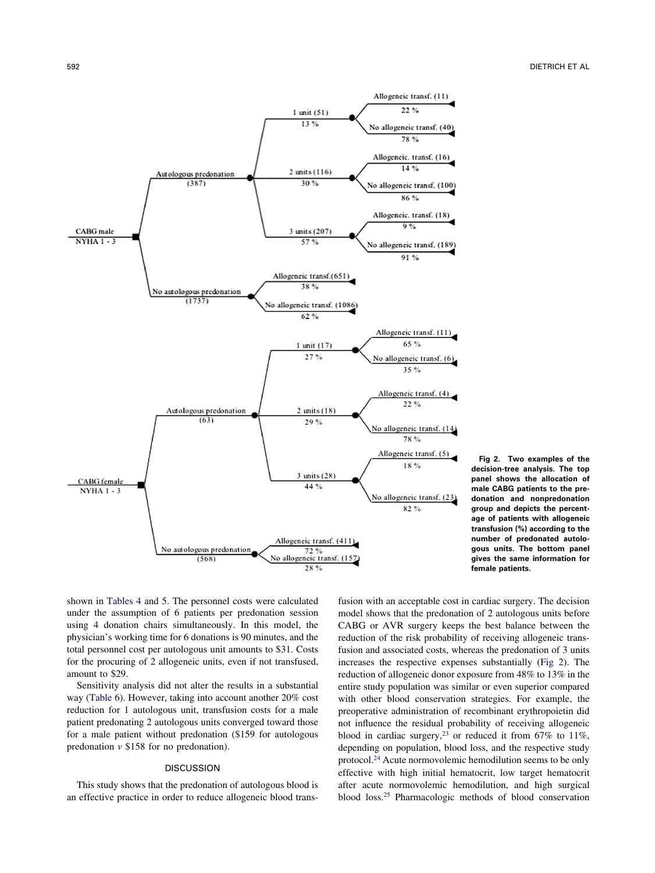<span id="page-3-0"></span>

**Fig 2. Two examples of the decision-tree analysis. The top panel shows the allocation of male CABG patients to the predonation and nonpredonation group and depicts the percentage of patients with allogeneic transfusion (%) according to the number of predonated autologous units. The bottom panel gives the same information for female patients.**

shown in [Tables 4](#page-4-0) and [5.](#page-5-0) The personnel costs were calculated under the assumption of 6 patients per predonation session using 4 donation chairs simultaneously. In this model, the physician's working time for 6 donations is 90 minutes, and the total personnel cost per autologous unit amounts to \$31. Costs for the procuring of 2 allogeneic units, even if not transfused, amount to \$29.

Sensitivity analysis did not alter the results in a substantial way [\(Table 6\)](#page-5-0). However, taking into account another 20% cost reduction for 1 autologous unit, transfusion costs for a male patient predonating 2 autologous units converged toward those for a male patient without predonation (\$159 for autologous predonation *v* \$158 for no predonation).

# DISCUSSION

This study shows that the predonation of autologous blood is an effective practice in order to reduce allogeneic blood transfusion with an acceptable cost in cardiac surgery. The decision model shows that the predonation of 2 autologous units before CABG or AVR surgery keeps the best balance between the reduction of the risk probability of receiving allogeneic transfusion and associated costs, whereas the predonation of 3 units increases the respective expenses substantially (Fig 2). The reduction of allogeneic donor exposure from 48% to 13% in the entire study population was similar or even superior compared with other blood conservation strategies. For example, the preoperative administration of recombinant erythropoietin did not influence the residual probability of receiving allogeneic blood in cardiac surgery,<sup>23</sup> or reduced it from  $67\%$  to  $11\%$ , depending on population, blood loss, and the respective study protocol[.24](#page-6-0) Acute normovolemic hemodilution seems to be only effective with high initial hematocrit, low target hematocrit after acute normovolemic hemodilution, and high surgical blood loss[.25](#page-6-0) Pharmacologic methods of blood conservation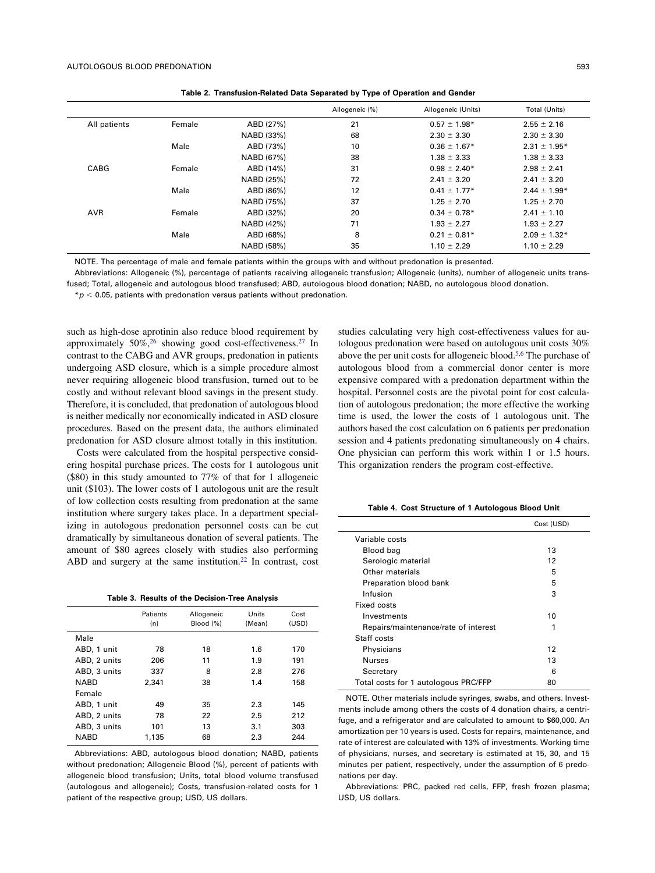<span id="page-4-0"></span>

|              |        |            | Allogeneic (%) | Allogeneic (Units) | Total (Units)    |
|--------------|--------|------------|----------------|--------------------|------------------|
| All patients | Female | ABD (27%)  | 21             | $0.57 \pm 1.98*$   | $2.55 \pm 2.16$  |
|              |        | NABD (33%) | 68             | $2.30 \pm 3.30$    | $2.30 \pm 3.30$  |
|              | Male   | ABD (73%)  | 10             | $0.36 \pm 1.67*$   | $2.31 \pm 1.95*$ |
|              |        | NABD (67%) | 38             | $1.38 \pm 3.33$    | $1.38 \pm 3.33$  |
| CABG         | Female | ABD (14%)  | 31             | $0.98 \pm 2.40*$   | $2.98 \pm 2.41$  |
|              |        | NABD (25%) | 72             | $2.41 \pm 3.20$    | $2.41 \pm 3.20$  |
|              | Male   | ABD (86%)  | 12             | $0.41 \pm 1.77*$   | $2.44 \pm 1.99*$ |
|              |        | NABD (75%) | 37             | $1.25 \pm 2.70$    | $1.25 \pm 2.70$  |
| <b>AVR</b>   | Female | ABD (32%)  | 20             | $0.34 \pm 0.78*$   | $2.41 \pm 1.10$  |
|              |        | NABD (42%) | 71             | $1.93 \pm 2.27$    | $1.93 \pm 2.27$  |
|              | Male   | ABD (68%)  | 8              | $0.21 \pm 0.81*$   | $2.09 \pm 1.32*$ |
|              |        | NABD (58%) | 35             | $1.10 \pm 2.29$    | $1.10 \pm 2.29$  |

**Table 2. Transfusion-Related Data Separated by Type of Operation and Gender**

NOTE. The percentage of male and female patients within the groups with and without predonation is presented.

Abbreviations: Allogeneic (%), percentage of patients receiving allogeneic transfusion; Allogeneic (units), number of allogeneic units transfused; Total, allogeneic and autologous blood transfused; ABD, autologous blood donation; NABD, no autologous blood donation.

 $* p < 0.05$ , patients with predonation versus patients without predonation.

such as high-dose aprotinin also reduce blood requirement by approximately 50%[,26](#page-6-0) showing good cost-effectiveness[.27](#page-7-0) In contrast to the CABG and AVR groups, predonation in patients undergoing ASD closure, which is a simple procedure almost never requiring allogeneic blood transfusion, turned out to be costly and without relevant blood savings in the present study. Therefore, it is concluded, that predonation of autologous blood is neither medically nor economically indicated in ASD closure procedures. Based on the present data, the authors eliminated predonation for ASD closure almost totally in this institution.

Costs were calculated from the hospital perspective considering hospital purchase prices. The costs for 1 autologous unit (\$80) in this study amounted to 77% of that for 1 allogeneic unit (\$103). The lower costs of 1 autologous unit are the result of low collection costs resulting from predonation at the same institution where surgery takes place. In a department specializing in autologous predonation personnel costs can be cut dramatically by simultaneous donation of several patients. The amount of \$80 agrees closely with studies also performing ABD and surgery at the same institution[.22](#page-6-0) In contrast, cost

**Table 3. Results of the Decision-Tree Analysis**

|              | Patients<br>(n) | Allogeneic<br>Blood (%) | Units<br>(Mean) | Cost<br>(USD) |
|--------------|-----------------|-------------------------|-----------------|---------------|
| Male         |                 |                         |                 |               |
| ABD, 1 unit  | 78              | 18                      | 1.6             | 170           |
| ABD, 2 units | 206             | 11                      | 1.9             | 191           |
| ABD, 3 units | 337             | 8                       | 2.8             | 276           |
| <b>NABD</b>  | 2.341           | 38                      | 1.4             | 158           |
| Female       |                 |                         |                 |               |
| ABD, 1 unit  | 49              | 35                      | 2.3             | 145           |
| ABD, 2 units | 78              | 22                      | 2.5             | 212           |
| ABD, 3 units | 101             | 13                      | 3.1             | 303           |
| <b>NABD</b>  | 1.135           | 68                      | 2.3             | 244           |
|              |                 |                         |                 |               |

Abbreviations: ABD, autologous blood donation; NABD, patients without predonation; Allogeneic Blood (%), percent of patients with allogeneic blood transfusion; Units, total blood volume transfused (autologous and allogeneic); Costs, transfusion-related costs for 1 patient of the respective group; USD, US dollars.

studies calculating very high cost-effectiveness values for autologous predonation were based on autologous unit costs 30% above the per unit costs for allogeneic blood[.5,6](#page-6-0) The purchase of autologous blood from a commercial donor center is more expensive compared with a predonation department within the hospital. Personnel costs are the pivotal point for cost calculation of autologous predonation; the more effective the working time is used, the lower the costs of 1 autologous unit. The authors based the cost calculation on 6 patients per predonation session and 4 patients predonating simultaneously on 4 chairs. One physician can perform this work within 1 or 1.5 hours. This organization renders the program cost-effective.

**Table 4. Cost Structure of 1 Autologous Blood Unit**

|                                      | Cost (USD) |
|--------------------------------------|------------|
| Variable costs                       |            |
| Blood bag                            | 13         |
| Serologic material                   | 12         |
| Other materials                      | 5          |
| Preparation blood bank               | 5          |
| Infusion                             | 3          |
| Fixed costs                          |            |
| Investments                          | 10         |
| Repairs/maintenance/rate of interest | 1          |
| Staff costs                          |            |
| Physicians                           | 12         |
| <b>Nurses</b>                        | 13         |
| Secretary                            | 6          |
| Total costs for 1 autologous PRC/FFP | 80         |

NOTE. Other materials include syringes, swabs, and others. Investments include among others the costs of 4 donation chairs, a centrifuge, and a refrigerator and are calculated to amount to \$60,000. An amortization per 10 years is used. Costs for repairs, maintenance, and rate of interest are calculated with 13% of investments. Working time of physicians, nurses, and secretary is estimated at 15, 30, and 15 minutes per patient, respectively, under the assumption of 6 predonations per day.

Abbreviations: PRC, packed red cells, FFP, fresh frozen plasma; USD, US dollars.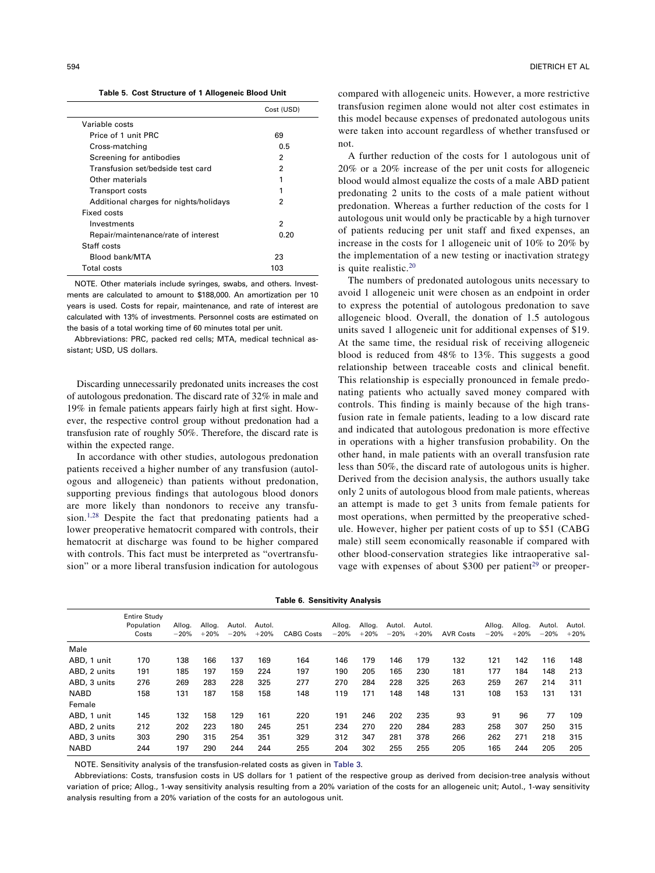**Table 5. Cost Structure of 1 Allogeneic Blood Unit**

<span id="page-5-0"></span>

|                                        | Cost (USD) |
|----------------------------------------|------------|
| Variable costs                         |            |
| Price of 1 unit PRC                    | 69         |
| Cross-matching                         | 0.5        |
| Screening for antibodies               | 2          |
| Transfusion set/bedside test card      | 2          |
| Other materials                        | 1          |
| <b>Transport costs</b>                 |            |
| Additional charges for nights/holidays | 2          |
| Fixed costs                            |            |
| Investments                            | 2          |
| Repair/maintenance/rate of interest    | 0.20       |
| Staff costs                            |            |
| Blood bank/MTA                         | 23         |
| Total costs                            | 103        |

NOTE. Other materials include syringes, swabs, and others. Investments are calculated to amount to \$188,000. An amortization per 10 years is used. Costs for repair, maintenance, and rate of interest are calculated with 13% of investments. Personnel costs are estimated on the basis of a total working time of 60 minutes total per unit.

Abbreviations: PRC, packed red cells; MTA, medical technical assistant; USD, US dollars.

Discarding unnecessarily predonated units increases the cost of autologous predonation. The discard rate of 32% in male and 19% in female patients appears fairly high at first sight. However, the respective control group without predonation had a transfusion rate of roughly 50%. Therefore, the discard rate is within the expected range.

In accordance with other studies, autologous predonation patients received a higher number of any transfusion (autologous and allogeneic) than patients without predonation, supporting previous findings that autologous blood donors are more likely than nondonors to receive any transfusion[.1](#page-6-0)[,28](#page-7-0) Despite the fact that predonating patients had a lower preoperative hematocrit compared with controls, their hematocrit at discharge was found to be higher compared with controls. This fact must be interpreted as "overtransfusion" or a more liberal transfusion indication for autologous compared with allogeneic units. However, a more restrictive transfusion regimen alone would not alter cost estimates in this model because expenses of predonated autologous units were taken into account regardless of whether transfused or not.

A further reduction of the costs for 1 autologous unit of 20% or a 20% increase of the per unit costs for allogeneic blood would almost equalize the costs of a male ABD patient predonating 2 units to the costs of a male patient without predonation. Whereas a further reduction of the costs for 1 autologous unit would only be practicable by a high turnover of patients reducing per unit staff and fixed expenses, an increase in the costs for 1 allogeneic unit of 10% to 20% by the implementation of a new testing or inactivation strategy is quite realistic[.20](#page-6-0)

The numbers of predonated autologous units necessary to avoid 1 allogeneic unit were chosen as an endpoint in order to express the potential of autologous predonation to save allogeneic blood. Overall, the donation of 1.5 autologous units saved 1 allogeneic unit for additional expenses of \$19. At the same time, the residual risk of receiving allogeneic blood is reduced from 48% to 13%. This suggests a good relationship between traceable costs and clinical benefit. This relationship is especially pronounced in female predonating patients who actually saved money compared with controls. This finding is mainly because of the high transfusion rate in female patients, leading to a low discard rate and indicated that autologous predonation is more effective in operations with a higher transfusion probability. On the other hand, in male patients with an overall transfusion rate less than 50%, the discard rate of autologous units is higher. Derived from the decision analysis, the authors usually take only 2 units of autologous blood from male patients, whereas an attempt is made to get 3 units from female patients for most operations, when permitted by the preoperative schedule. However, higher per patient costs of up to \$51 (CABG male) still seem economically reasonable if compared with other blood-conservation strategies like intraoperative salvage with expenses of about \$300 per patient<sup>29</sup> or preoper-

|  | Table 6. Sensitivity Analysis |  |  |
|--|-------------------------------|--|--|
|--|-------------------------------|--|--|

|              | <b>Entire Study</b><br>Population<br>Costs | Allog.<br>$-20%$ | Allog.<br>$+20%$ | Autol.<br>$-20%$ | Autol.<br>$+20%$ | <b>CABG Costs</b> | Allog.<br>$-20%$ | Allog.<br>$+20%$ | Autol.<br>$-20%$ | Autol.<br>$+20%$ | <b>AVR Costs</b> | Allog.<br>$-20%$ | Allog.<br>$+20%$ | Autol.<br>$-20%$ | Autol.<br>$+20%$ |
|--------------|--------------------------------------------|------------------|------------------|------------------|------------------|-------------------|------------------|------------------|------------------|------------------|------------------|------------------|------------------|------------------|------------------|
| Male         |                                            |                  |                  |                  |                  |                   |                  |                  |                  |                  |                  |                  |                  |                  |                  |
| ABD, 1 unit  | 170                                        | 138              | 166              | 137              | 169              | 164               | 146              | 179              | 146              | 179              | 132              | 121              | 142              | 116              | 148              |
| ABD, 2 units | 191                                        | 185              | 197              | 159              | 224              | 197               | 190              | 205              | 165              | 230              | 181              | 177              | 184              | 148              | 213              |
| ABD, 3 units | 276                                        | 269              | 283              | 228              | 325              | 277               | 270              | 284              | 228              | 325              | 263              | 259              | 267              | 214              | 311              |
| <b>NABD</b>  | 158                                        | 131              | 187              | 158              | 158              | 148               | 119              | 171              | 148              | 148              | 131              | 108              | 153              | 131              | 131              |
| Female       |                                            |                  |                  |                  |                  |                   |                  |                  |                  |                  |                  |                  |                  |                  |                  |
| ABD, 1 unit  | 145                                        | 132              | 158              | 129              | 161              | 220               | 191              | 246              | 202              | 235              | 93               | 91               | 96               | 77               | 109              |
| ABD, 2 units | 212                                        | 202              | 223              | 180              | 245              | 251               | 234              | 270              | 220              | 284              | 283              | 258              | 307              | 250              | 315              |
| ABD, 3 units | 303                                        | 290              | 315              | 254              | 351              | 329               | 312              | 347              | 281              | 378              | 266              | 262              | 271              | 218              | 315              |
| <b>NABD</b>  | 244                                        | 197              | 290              | 244              | 244              | 255               | 204              | 302              | 255              | 255              | 205              | 165              | 244              | 205              | 205              |

NOTE. Sensitivity analysis of the transfusion-related costs as given in [Table 3.](#page-4-0)

Abbreviations: Costs, transfusion costs in US dollars for 1 patient of the respective group as derived from decision-tree analysis without variation of price; Allog., 1-way sensitivity analysis resulting from a 20% variation of the costs for an allogeneic unit; Autol., 1-way sensitivity analysis resulting from a 20% variation of the costs for an autologous unit.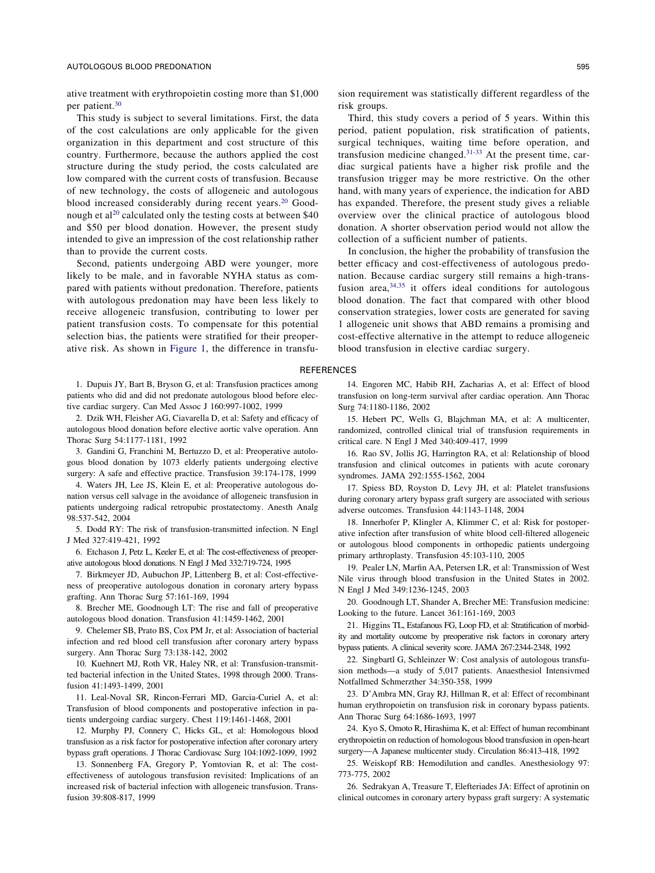<span id="page-6-0"></span>ative treatment with erythropoietin costing more than \$1,000 per patient[.30](#page-7-0)

This study is subject to several limitations. First, the data of the cost calculations are only applicable for the given organization in this department and cost structure of this country. Furthermore, because the authors applied the cost structure during the study period, the costs calculated are low compared with the current costs of transfusion. Because of new technology, the costs of allogeneic and autologous blood increased considerably during recent years.<sup>20</sup> Goodnough et al<sup>20</sup> calculated only the testing costs at between \$40 and \$50 per blood donation. However, the present study intended to give an impression of the cost relationship rather than to provide the current costs.

Second, patients undergoing ABD were younger, more likely to be male, and in favorable NYHA status as compared with patients without predonation. Therefore, patients with autologous predonation may have been less likely to receive allogeneic transfusion, contributing to lower per patient transfusion costs. To compensate for this potential selection bias, the patients were stratified for their preoperative risk. As shown in [Figure 1,](#page-2-0) the difference in transfu-

1. Dupuis JY, Bart B, Bryson G, et al: Transfusion practices among patients who did and did not predonate autologous blood before elective cardiac surgery. Can Med Assoc J 160:997-1002, 1999

2. Dzik WH, Fleisher AG, Ciavarella D, et al: Safety and efficacy of autologous blood donation before elective aortic valve operation. Ann Thorac Surg 54:1177-1181, 1992

3. Gandini G, Franchini M, Bertuzzo D, et al: Preoperative autologous blood donation by 1073 elderly patients undergoing elective surgery: A safe and effective practice. Transfusion 39:174-178, 1999

4. Waters JH, Lee JS, Klein E, et al: Preoperative autologous donation versus cell salvage in the avoidance of allogeneic transfusion in patients undergoing radical retropubic prostatectomy. Anesth Analg 98:537-542, 2004

5. Dodd RY: The risk of transfusion-transmitted infection. N Engl J Med 327:419-421, 1992

6. Etchason J, Petz L, Keeler E, et al: The cost-effectiveness of preoperative autologous blood donations. N Engl J Med 332:719-724, 1995

7. Birkmeyer JD, Aubuchon JP, Littenberg B, et al: Cost-effectiveness of preoperative autologous donation in coronary artery bypass grafting. Ann Thorac Surg 57:161-169, 1994

8. Brecher ME, Goodnough LT: The rise and fall of preoperative autologous blood donation. Transfusion 41:1459-1462, 2001

9. Chelemer SB, Prato BS, Cox PM Jr, et al: Association of bacterial infection and red blood cell transfusion after coronary artery bypass surgery. Ann Thorac Surg 73:138-142, 2002

10. Kuehnert MJ, Roth VR, Haley NR, et al: Transfusion-transmitted bacterial infection in the United States, 1998 through 2000. Transfusion 41:1493-1499, 2001

11. Leal-Noval SR, Rincon-Ferrari MD, Garcia-Curiel A, et al: Transfusion of blood components and postoperative infection in patients undergoing cardiac surgery. Chest 119:1461-1468, 2001

12. Murphy PJ, Connery C, Hicks GL, et al: Homologous blood transfusion as a risk factor for postoperative infection after coronary artery bypass graft operations. J Thorac Cardiovasc Surg 104:1092-1099, 1992

13. Sonnenberg FA, Gregory P, Yomtovian R, et al: The costeffectiveness of autologous transfusion revisited: Implications of an increased risk of bacterial infection with allogeneic transfusion. Transfusion 39:808-817, 1999

sion requirement was statistically different regardless of the risk groups.

Third, this study covers a period of 5 years. Within this period, patient population, risk stratification of patients, surgical techniques, waiting time before operation, and transfusion medicine changed[.31-33](#page-7-0) At the present time, cardiac surgical patients have a higher risk profile and the transfusion trigger may be more restrictive. On the other hand, with many years of experience, the indication for ABD has expanded. Therefore, the present study gives a reliable overview over the clinical practice of autologous blood donation. A shorter observation period would not allow the collection of a sufficient number of patients.

In conclusion, the higher the probability of transfusion the better efficacy and cost-effectiveness of autologous predonation. Because cardiac surgery still remains a high-transfusion area, $34,35$  it offers ideal conditions for autologous blood donation. The fact that compared with other blood conservation strategies, lower costs are generated for saving 1 allogeneic unit shows that ABD remains a promising and cost-effective alternative in the attempt to reduce allogeneic blood transfusion in elective cardiac surgery.

### REFERENCES

14. Engoren MC, Habib RH, Zacharias A, et al: Effect of blood transfusion on long-term survival after cardiac operation. Ann Thorac Surg 74:1180-1186, 2002

15. Hebert PC, Wells G, Blajchman MA, et al: A multicenter, randomized, controlled clinical trial of transfusion requirements in critical care. N Engl J Med 340:409-417, 1999

16. Rao SV, Jollis JG, Harrington RA, et al: Relationship of blood transfusion and clinical outcomes in patients with acute coronary syndromes. JAMA 292:1555-1562, 2004

17. Spiess BD, Royston D, Levy JH, et al: Platelet transfusions during coronary artery bypass graft surgery are associated with serious adverse outcomes. Transfusion 44:1143-1148, 2004

18. Innerhofer P, Klingler A, Klimmer C, et al: Risk for postoperative infection after transfusion of white blood cell-filtered allogeneic or autologous blood components in orthopedic patients undergoing primary arthroplasty. Transfusion 45:103-110, 2005

19. Pealer LN, Marfin AA, Petersen LR, et al: Transmission of West Nile virus through blood transfusion in the United States in 2002. N Engl J Med 349:1236-1245, 2003

20. Goodnough LT, Shander A, Brecher ME: Transfusion medicine: Looking to the future. Lancet 361:161-169, 2003

21. Higgins TL, Estafanous FG, Loop FD, et al: Stratification of morbidity and mortality outcome by preoperative risk factors in coronary artery bypass patients. A clinical severity score. JAMA 267:2344-2348, 1992

22. Singbartl G, Schleinzer W: Cost analysis of autologous transfusion methods—a study of 5,017 patients. Anaesthesiol Intensivmed Notfallmed Schmerzther 34:350-358, 1999

23. D'Ambra MN, Gray RJ, Hillman R, et al: Effect of recombinant human erythropoietin on transfusion risk in coronary bypass patients. Ann Thorac Surg 64:1686-1693, 1997

24. Kyo S, Omoto R, Hirashima K, et al: Effect of human recombinant erythropoietin on reduction of homologous blood transfusion in open-heart surgery—A Japanese multicenter study. Circulation 86:413-418, 1992

25. Weiskopf RB: Hemodilution and candles. Anesthesiology 97: 773-775, 2002

26. Sedrakyan A, Treasure T, Elefteriades JA: Effect of aprotinin on clinical outcomes in coronary artery bypass graft surgery: A systematic